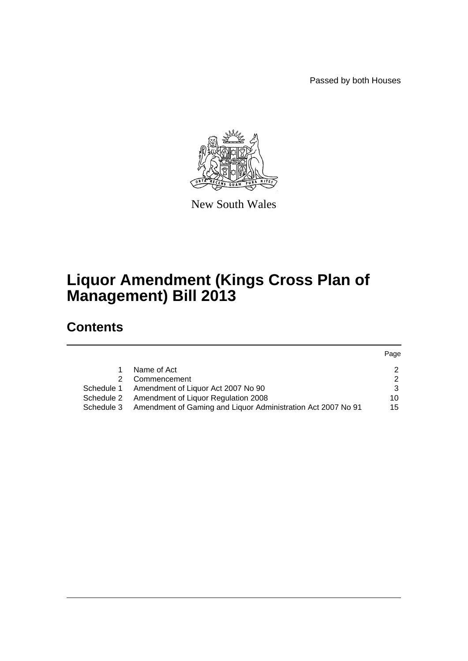Passed by both Houses



New South Wales

# **Liquor Amendment (Kings Cross Plan of Management) Bill 2013**

# **Contents**

|            |                                                              | Page          |
|------------|--------------------------------------------------------------|---------------|
|            | Name of Act                                                  | $\mathcal{P}$ |
|            | Commencement                                                 | $\mathcal{P}$ |
| Schedule 1 | Amendment of Liquor Act 2007 No 90                           | 3             |
| Schedule 2 | Amendment of Liquor Regulation 2008                          | 10            |
| Schedule 3 | Amendment of Gaming and Liquor Administration Act 2007 No 91 | 15            |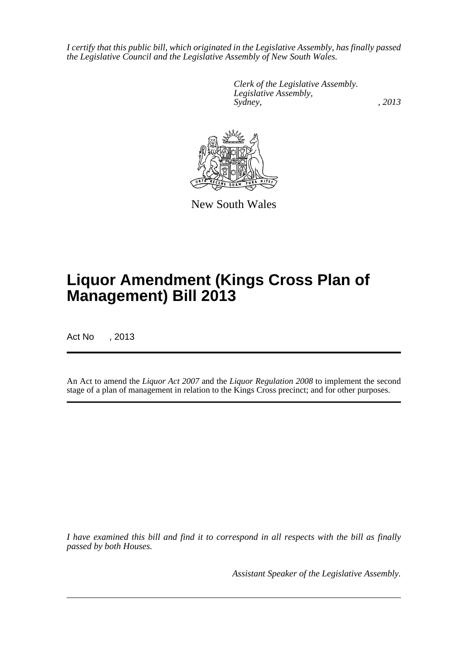*I certify that this public bill, which originated in the Legislative Assembly, has finally passed the Legislative Council and the Legislative Assembly of New South Wales.*

> *Clerk of the Legislative Assembly. Legislative Assembly, Sydney, , 2013*



New South Wales

# **Liquor Amendment (Kings Cross Plan of Management) Bill 2013**

Act No , 2013

An Act to amend the *Liquor Act 2007* and the *Liquor Regulation 2008* to implement the second stage of a plan of management in relation to the Kings Cross precinct; and for other purposes.

*I have examined this bill and find it to correspond in all respects with the bill as finally passed by both Houses.*

*Assistant Speaker of the Legislative Assembly.*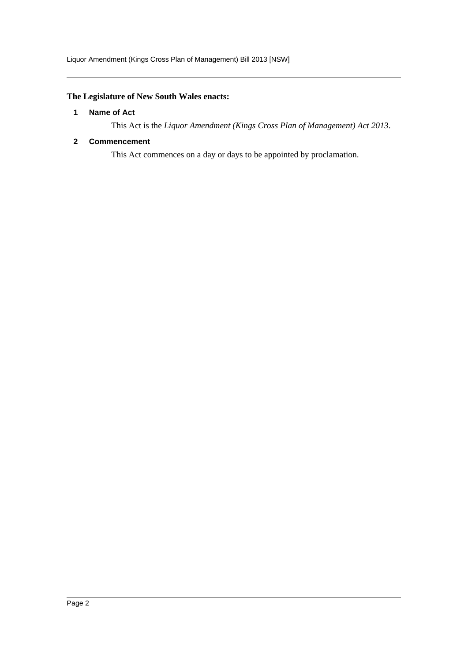# <span id="page-2-0"></span>**The Legislature of New South Wales enacts:**

#### **1 Name of Act**

This Act is the *Liquor Amendment (Kings Cross Plan of Management) Act 2013*.

### <span id="page-2-1"></span>**2 Commencement**

This Act commences on a day or days to be appointed by proclamation.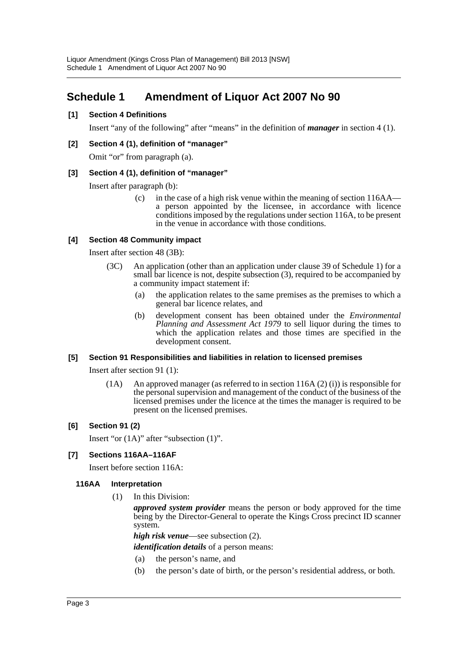# <span id="page-3-0"></span>**Schedule 1 Amendment of Liquor Act 2007 No 90**

### **[1] Section 4 Definitions**

Insert "any of the following" after "means" in the definition of *manager* in section 4 (1).

#### **[2] Section 4 (1), definition of "manager"**

Omit "or" from paragraph (a).

#### **[3] Section 4 (1), definition of "manager"**

Insert after paragraph (b):

(c) in the case of a high risk venue within the meaning of section 116AA a person appointed by the licensee, in accordance with licence conditions imposed by the regulations under section 116A, to be present in the venue in accordance with those conditions.

# **[4] Section 48 Community impact**

Insert after section 48 (3B):

- (3C) An application (other than an application under clause 39 of Schedule 1) for a small bar licence is not, despite subsection (3), required to be accompanied by a community impact statement if:
	- (a) the application relates to the same premises as the premises to which a general bar licence relates, and
	- (b) development consent has been obtained under the *Environmental Planning and Assessment Act 1979* to sell liquor during the times to which the application relates and those times are specified in the development consent.

#### **[5] Section 91 Responsibilities and liabilities in relation to licensed premises**

Insert after section 91 (1):

(1A) An approved manager (as referred to in section 116A (2) (i)) is responsible for the personal supervision and management of the conduct of the business of the licensed premises under the licence at the times the manager is required to be present on the licensed premises.

# **[6] Section 91 (2)**

Insert "or (1A)" after "subsection (1)".

#### **[7] Sections 116AA–116AF**

Insert before section 116A:

#### **116AA Interpretation**

(1) In this Division:

*approved system provider* means the person or body approved for the time being by the Director-General to operate the Kings Cross precinct ID scanner system.

*high risk venue*—see subsection (2).

*identification details* of a person means:

- (a) the person's name, and
- (b) the person's date of birth, or the person's residential address, or both.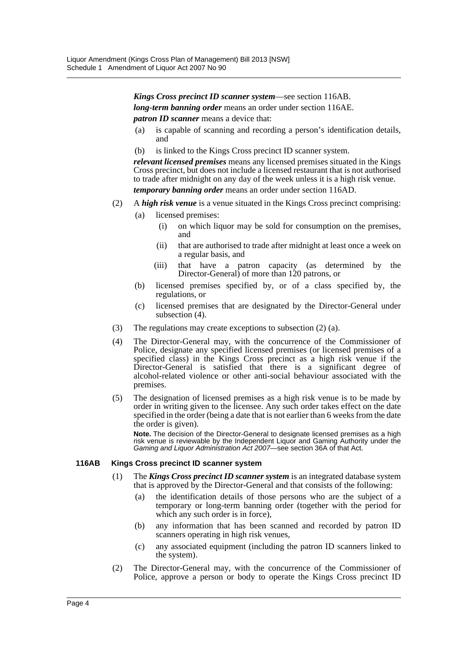*Kings Cross precinct ID scanner system*—see section 116AB. *long-term banning order* means an order under section 116AE. *patron ID scanner* means a device that:

- (a) is capable of scanning and recording a person's identification details, and
- (b) is linked to the Kings Cross precinct ID scanner system.

*relevant licensed premises* means any licensed premises situated in the Kings Cross precinct, but does not include a licensed restaurant that is not authorised to trade after midnight on any day of the week unless it is a high risk venue. *temporary banning order* means an order under section 116AD.

- (2) A *high risk venue* is a venue situated in the Kings Cross precinct comprising:
	- (a) licensed premises:
		- (i) on which liquor may be sold for consumption on the premises, and
		- (ii) that are authorised to trade after midnight at least once a week on a regular basis, and
		- (iii) that have a patron capacity (as determined by the Director-General) of more than 120 patrons, or
	- (b) licensed premises specified by, or of a class specified by, the regulations, or
	- (c) licensed premises that are designated by the Director-General under subsection (4).
- (3) The regulations may create exceptions to subsection (2) (a).
- (4) The Director-General may, with the concurrence of the Commissioner of Police, designate any specified licensed premises (or licensed premises of a specified class) in the Kings Cross precinct as a high risk venue if the Director-General is satisfied that there is a significant degree of alcohol-related violence or other anti-social behaviour associated with the premises.
- (5) The designation of licensed premises as a high risk venue is to be made by order in writing given to the licensee. Any such order takes effect on the date specified in the order (being a date that is not earlier than 6 weeks from the date the order is given).

**Note.** The decision of the Director-General to designate licensed premises as a high risk venue is reviewable by the Independent Liquor and Gaming Authority under the *Gaming and Liquor Administration Act 2007*—see section 36A of that Act.

#### **116AB Kings Cross precinct ID scanner system**

- (1) The *Kings Cross precinct ID scanner system* is an integrated database system that is approved by the Director-General and that consists of the following:
	- (a) the identification details of those persons who are the subject of a temporary or long-term banning order (together with the period for which any such order is in force),
	- (b) any information that has been scanned and recorded by patron ID scanners operating in high risk venues,
	- (c) any associated equipment (including the patron ID scanners linked to the system).
- (2) The Director-General may, with the concurrence of the Commissioner of Police, approve a person or body to operate the Kings Cross precinct ID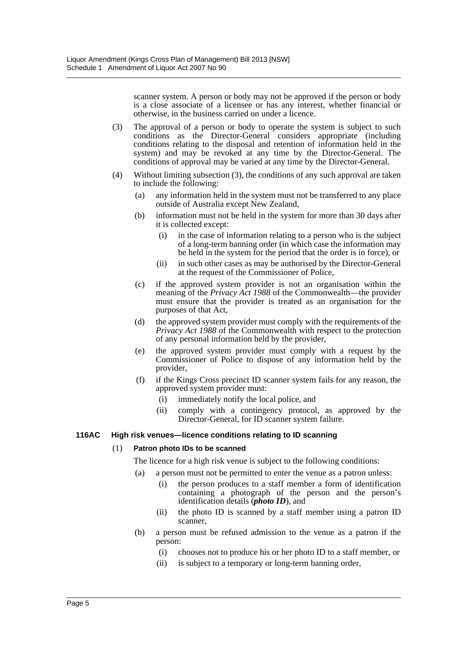scanner system. A person or body may not be approved if the person or body is a close associate of a licensee or has any interest, whether financial or otherwise, in the business carried on under a licence.

- (3) The approval of a person or body to operate the system is subject to such conditions as the Director-General considers appropriate (including conditions relating to the disposal and retention of information held in the system) and may be revoked at any time by the Director-General. The conditions of approval may be varied at any time by the Director-General.
- (4) Without limiting subsection (3), the conditions of any such approval are taken to include the following:
	- (a) any information held in the system must not be transferred to any place outside of Australia except New Zealand,
	- (b) information must not be held in the system for more than 30 days after it is collected except:
		- (i) in the case of information relating to a person who is the subject of a long-term banning order (in which case the information may be held in the system for the period that the order is in force), or
		- (ii) in such other cases as may be authorised by the Director-General at the request of the Commissioner of Police,
	- (c) if the approved system provider is not an organisation within the meaning of the *Privacy Act 1988* of the Commonwealth—the provider must ensure that the provider is treated as an organisation for the purposes of that Act,
	- (d) the approved system provider must comply with the requirements of the *Privacy Act 1988* of the Commonwealth with respect to the protection of any personal information held by the provider,
	- (e) the approved system provider must comply with a request by the Commissioner of Police to dispose of any information held by the provider,
	- (f) if the Kings Cross precinct ID scanner system fails for any reason, the approved system provider must:
		- (i) immediately notify the local police, and
		- (ii) comply with a contingency protocol, as approved by the Director-General, for ID scanner system failure.

#### **116AC High risk venues—licence conditions relating to ID scanning**

#### (1) **Patron photo IDs to be scanned**

The licence for a high risk venue is subject to the following conditions:

- (a) a person must not be permitted to enter the venue as a patron unless:
	- (i) the person produces to a staff member a form of identification  $\frac{1}{2}$  containing  $\frac{1}{2}$  photograph of the person and the person's identification details (*photo ID*), and
	- (ii) the photo ID is scanned by a staff member using a patron ID scanner,
- (b) a person must be refused admission to the venue as a patron if the person:
	- (i) chooses not to produce his or her photo ID to a staff member, or
	- (ii) is subject to a temporary or long-term banning order,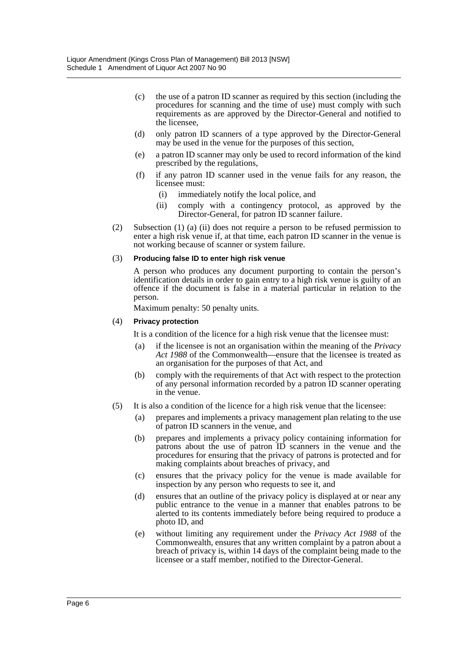- (c) the use of a patron ID scanner as required by this section (including the procedures for scanning and the time of use) must comply with such requirements as are approved by the Director-General and notified to the licensee,
- (d) only patron ID scanners of a type approved by the Director-General may be used in the venue for the purposes of this section,
- (e) a patron ID scanner may only be used to record information of the kind prescribed by the regulations,
- (f) if any patron ID scanner used in the venue fails for any reason, the licensee must:
	- (i) immediately notify the local police, and
	- (ii) comply with a contingency protocol, as approved by the Director-General, for patron ID scanner failure.
- (2) Subsection (1) (a) (ii) does not require a person to be refused permission to enter a high risk venue if, at that time, each patron ID scanner in the venue is not working because of scanner or system failure.

#### (3) **Producing false ID to enter high risk venue**

A person who produces any document purporting to contain the person's identification details in order to gain entry to a high risk venue is guilty of an offence if the document is false in a material particular in relation to the person.

Maximum penalty: 50 penalty units.

#### (4) **Privacy protection**

It is a condition of the licence for a high risk venue that the licensee must:

- (a) if the licensee is not an organisation within the meaning of the *Privacy Act 1988* of the Commonwealth—ensure that the licensee is treated as an organisation for the purposes of that Act, and
- (b) comply with the requirements of that Act with respect to the protection of any personal information recorded by a patron ID scanner operating in the venue.
- (5) It is also a condition of the licence for a high risk venue that the licensee:
	- (a) prepares and implements a privacy management plan relating to the use of patron ID scanners in the venue, and
	- (b) prepares and implements a privacy policy containing information for patrons about the use of patron ID scanners in the venue and the procedures for ensuring that the privacy of patrons is protected and for making complaints about breaches of privacy, and
	- (c) ensures that the privacy policy for the venue is made available for inspection by any person who requests to see it, and
	- (d) ensures that an outline of the privacy policy is displayed at or near any public entrance to the venue in a manner that enables patrons to be alerted to its contents immediately before being required to produce a photo ID, and
	- (e) without limiting any requirement under the *Privacy Act 1988* of the Commonwealth, ensures that any written complaint by a patron about a breach of privacy is, within 14 days of the complaint being made to the licensee or a staff member, notified to the Director-General.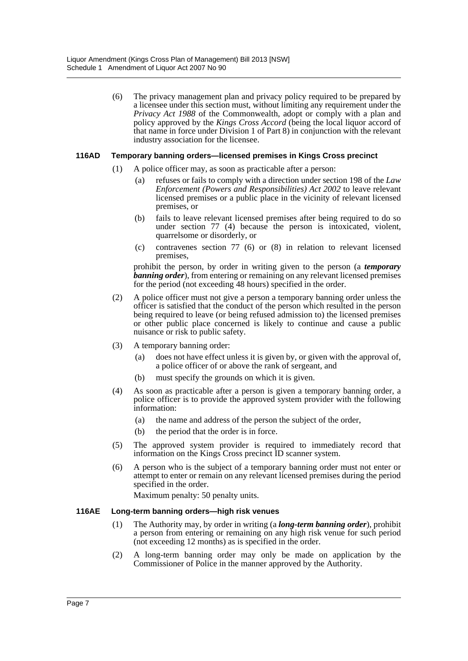(6) The privacy management plan and privacy policy required to be prepared by a licensee under this section must, without limiting any requirement under the *Privacy Act 1988* of the Commonwealth, adopt or comply with a plan and policy approved by the *Kings Cross Accord* (being the local liquor accord of that name in force under Division 1 of Part 8) in conjunction with the relevant industry association for the licensee.

#### **116AD Temporary banning orders—licensed premises in Kings Cross precinct**

- (1) A police officer may, as soon as practicable after a person:
	- (a) refuses or fails to comply with a direction under section 198 of the *Law Enforcement (Powers and Responsibilities) Act 2002* to leave relevant licensed premises or a public place in the vicinity of relevant licensed premises, or
	- (b) fails to leave relevant licensed premises after being required to do so under section 77 (4) because the person is intoxicated, violent, quarrelsome or disorderly, or
	- (c) contravenes section 77 (6) or (8) in relation to relevant licensed premises,

prohibit the person, by order in writing given to the person (a *temporary banning order*), from entering or remaining on any relevant licensed premises for the period (not exceeding 48 hours) specified in the order.

- (2) A police officer must not give a person a temporary banning order unless the officer is satisfied that the conduct of the person which resulted in the person being required to leave (or being refused admission to) the licensed premises or other public place concerned is likely to continue and cause a public nuisance or risk to public safety.
- (3) A temporary banning order:
	- (a) does not have effect unless it is given by, or given with the approval of, a police officer of or above the rank of sergeant, and
	- (b) must specify the grounds on which it is given.
- (4) As soon as practicable after a person is given a temporary banning order, a police officer is to provide the approved system provider with the following information:
	- (a) the name and address of the person the subject of the order,
	- (b) the period that the order is in force.
- (5) The approved system provider is required to immediately record that information on the Kings Cross precinct ID scanner system.
- (6) A person who is the subject of a temporary banning order must not enter or attempt to enter or remain on any relevant licensed premises during the period specified in the order.

Maximum penalty: 50 penalty units.

#### **116AE Long-term banning orders—high risk venues**

- (1) The Authority may, by order in writing (a *long-term banning order*), prohibit a person from entering or remaining on any high risk venue for such period (not exceeding 12 months) as is specified in the order.
- (2) A long-term banning order may only be made on application by the Commissioner of Police in the manner approved by the Authority.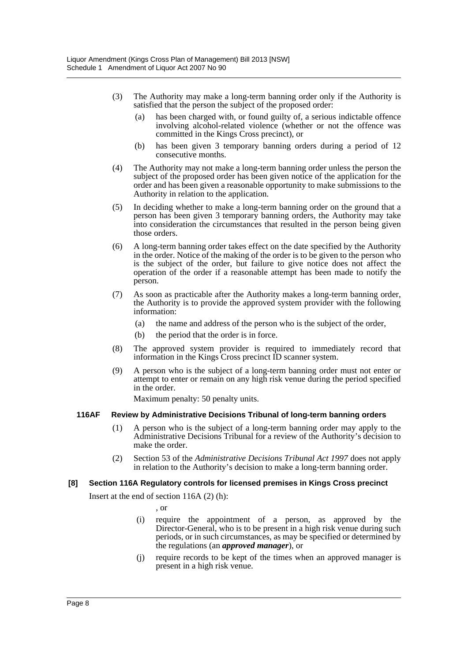- (3) The Authority may make a long-term banning order only if the Authority is satisfied that the person the subject of the proposed order:
	- (a) has been charged with, or found guilty of, a serious indictable offence involving alcohol-related violence (whether or not the offence was committed in the Kings Cross precinct), or
	- (b) has been given 3 temporary banning orders during a period of 12 consecutive months.
- (4) The Authority may not make a long-term banning order unless the person the subject of the proposed order has been given notice of the application for the order and has been given a reasonable opportunity to make submissions to the Authority in relation to the application.
- (5) In deciding whether to make a long-term banning order on the ground that a person has been given 3 temporary banning orders, the Authority may take into consideration the circumstances that resulted in the person being given those orders.
- (6) A long-term banning order takes effect on the date specified by the Authority in the order. Notice of the making of the order is to be given to the person who is the subject of the order, but failure to give notice does not affect the operation of the order if a reasonable attempt has been made to notify the person.
- (7) As soon as practicable after the Authority makes a long-term banning order, the Authority is to provide the approved system provider with the following information:
	- (a) the name and address of the person who is the subject of the order,
	- (b) the period that the order is in force.
- (8) The approved system provider is required to immediately record that information in the Kings Cross precinct ID scanner system.
- (9) A person who is the subject of a long-term banning order must not enter or attempt to enter or remain on any high risk venue during the period specified in the order.

Maximum penalty: 50 penalty units.

#### **116AF Review by Administrative Decisions Tribunal of long-term banning orders**

- (1) A person who is the subject of a long-term banning order may apply to the Administrative Decisions Tribunal for a review of the Authority's decision to make the order.
- (2) Section 53 of the *Administrative Decisions Tribunal Act 1997* does not apply in relation to the Authority's decision to make a long-term banning order.

#### **[8] Section 116A Regulatory controls for licensed premises in Kings Cross precinct**

Insert at the end of section 116A (2) (h):

, or

- (i) require the appointment of a person, as approved by the Director-General, who is to be present in a high risk venue during such periods, or in such circumstances, as may be specified or determined by the regulations (an *approved manager*), or
- (j) require records to be kept of the times when an approved manager is present in a high risk venue.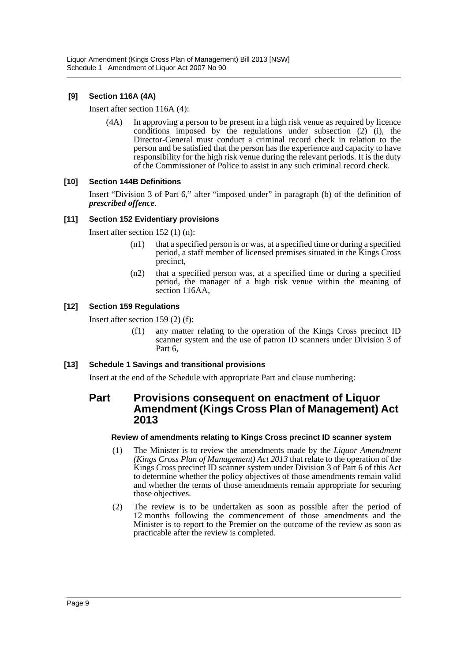# **[9] Section 116A (4A)**

Insert after section 116A (4):

(4A) In approving a person to be present in a high risk venue as required by licence conditions imposed by the regulations under subsection (2) (i), the Director-General must conduct a criminal record check in relation to the person and be satisfied that the person has the experience and capacity to have responsibility for the high risk venue during the relevant periods. It is the duty of the Commissioner of Police to assist in any such criminal record check.

# **[10] Section 144B Definitions**

Insert "Division 3 of Part 6," after "imposed under" in paragraph (b) of the definition of *prescribed offence*.

#### **[11] Section 152 Evidentiary provisions**

Insert after section 152 (1) (n):

- (n1) that a specified person is or was, at a specified time or during a specified period, a staff member of licensed premises situated in the Kings Cross precinct,
- (n2) that a specified person was, at a specified time or during a specified period, the manager of a high risk venue within the meaning of section 116AA,

#### **[12] Section 159 Regulations**

Insert after section 159 (2) (f):

(f1) any matter relating to the operation of the Kings Cross precinct ID scanner system and the use of patron ID scanners under Division 3 of Part 6,

#### **[13] Schedule 1 Savings and transitional provisions**

Insert at the end of the Schedule with appropriate Part and clause numbering:

# **Part Provisions consequent on enactment of Liquor Amendment (Kings Cross Plan of Management) Act 2013**

#### **Review of amendments relating to Kings Cross precinct ID scanner system**

- (1) The Minister is to review the amendments made by the *Liquor Amendment (Kings Cross Plan of Management) Act 2013* that relate to the operation of the Kings Cross precinct ID scanner system under Division 3 of Part 6 of this Act to determine whether the policy objectives of those amendments remain valid and whether the terms of those amendments remain appropriate for securing those objectives.
- (2) The review is to be undertaken as soon as possible after the period of 12 months following the commencement of those amendments and the Minister is to report to the Premier on the outcome of the review as soon as practicable after the review is completed.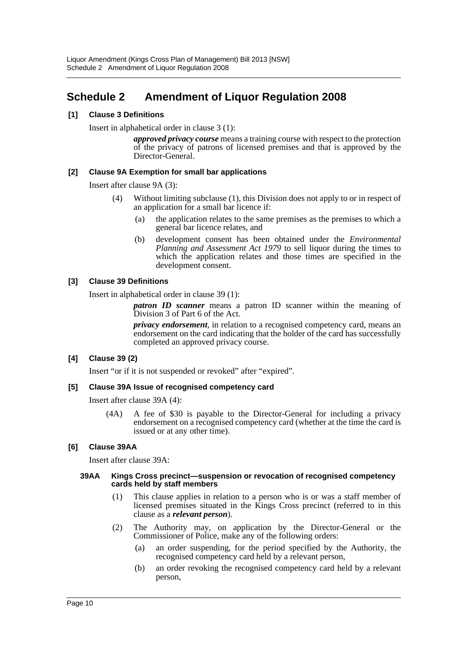# <span id="page-10-0"></span>**Schedule 2 Amendment of Liquor Regulation 2008**

#### **[1] Clause 3 Definitions**

Insert in alphabetical order in clause 3 (1):

*approved privacy course* means a training course with respect to the protection of the privacy of patrons of licensed premises and that is approved by the Director-General.

#### **[2] Clause 9A Exemption for small bar applications**

Insert after clause 9A (3):

- (4) Without limiting subclause (1), this Division does not apply to or in respect of an application for a small bar licence if:
	- (a) the application relates to the same premises as the premises to which a general bar licence relates, and
	- (b) development consent has been obtained under the *Environmental Planning and Assessment Act 1979* to sell liquor during the times to which the application relates and those times are specified in the development consent.

#### **[3] Clause 39 Definitions**

Insert in alphabetical order in clause 39 (1):

*patron ID scanner* means a patron ID scanner within the meaning of Division 3 of Part 6 of the Act.

*privacy endorsement*, in relation to a recognised competency card, means an endorsement on the card indicating that the holder of the card has successfully completed an approved privacy course.

# **[4] Clause 39 (2)**

Insert "or if it is not suspended or revoked" after "expired".

#### **[5] Clause 39A Issue of recognised competency card**

Insert after clause 39A (4):

(4A) A fee of \$30 is payable to the Director-General for including a privacy endorsement on a recognised competency card (whether at the time the card is issued or at any other time).

# **[6] Clause 39AA**

Insert after clause 39A:

#### **39AA Kings Cross precinct—suspension or revocation of recognised competency cards held by staff members**

- (1) This clause applies in relation to a person who is or was a staff member of licensed premises situated in the Kings Cross precinct (referred to in this clause as a *relevant person*).
- (2) The Authority may, on application by the Director-General or the Commissioner of Police, make any of the following orders:
	- (a) an order suspending, for the period specified by the Authority, the recognised competency card held by a relevant person,
	- (b) an order revoking the recognised competency card held by a relevant person,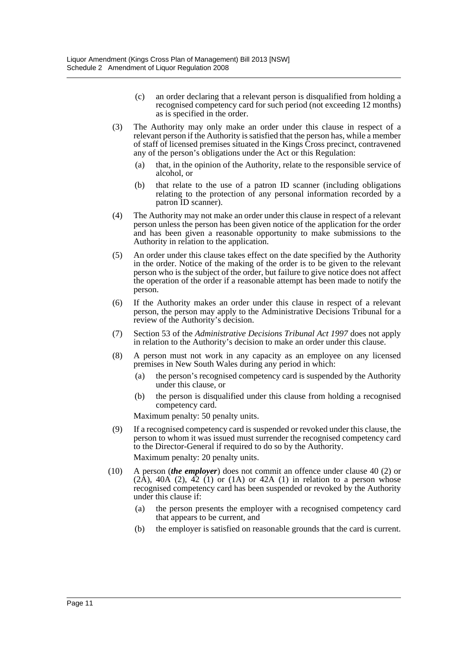- (c) an order declaring that a relevant person is disqualified from holding a recognised competency card for such period (not exceeding 12 months) as is specified in the order.
- (3) The Authority may only make an order under this clause in respect of a relevant person if the Authority is satisfied that the person has, while a member of staff of licensed premises situated in the Kings Cross precinct, contravened any of the person's obligations under the Act or this Regulation:
	- (a) that, in the opinion of the Authority, relate to the responsible service of alcohol, or
	- (b) that relate to the use of a patron ID scanner (including obligations relating to the protection of any personal information recorded by a patron ID scanner).
- (4) The Authority may not make an order under this clause in respect of a relevant person unless the person has been given notice of the application for the order and has been given a reasonable opportunity to make submissions to the Authority in relation to the application.
- (5) An order under this clause takes effect on the date specified by the Authority in the order. Notice of the making of the order is to be given to the relevant person who is the subject of the order, but failure to give notice does not affect the operation of the order if a reasonable attempt has been made to notify the person.
- (6) If the Authority makes an order under this clause in respect of a relevant person, the person may apply to the Administrative Decisions Tribunal for a review of the Authority's decision.
- (7) Section 53 of the *Administrative Decisions Tribunal Act 1997* does not apply in relation to the Authority's decision to make an order under this clause.
- (8) A person must not work in any capacity as an employee on any licensed premises in New South Wales during any period in which:
	- (a) the person's recognised competency card is suspended by the Authority under this clause, or
	- (b) the person is disqualified under this clause from holding a recognised competency card.

Maximum penalty: 50 penalty units.

- (9) If a recognised competency card is suspended or revoked under this clause, the person to whom it was issued must surrender the recognised competency card to the Director-General if required to do so by the Authority. Maximum penalty: 20 penalty units.
- (10) A person (*the employer*) does not commit an offence under clause 40 (2) or  $(2A)$ ,  $40A$   $(2)$ ,  $42$   $(1)$  or  $(1A)$  or  $42A$   $(1)$  in relation to a person whose recognised competency card has been suspended or revoked by the Authority under this clause if:
	- (a) the person presents the employer with a recognised competency card that appears to be current, and
	- (b) the employer is satisfied on reasonable grounds that the card is current.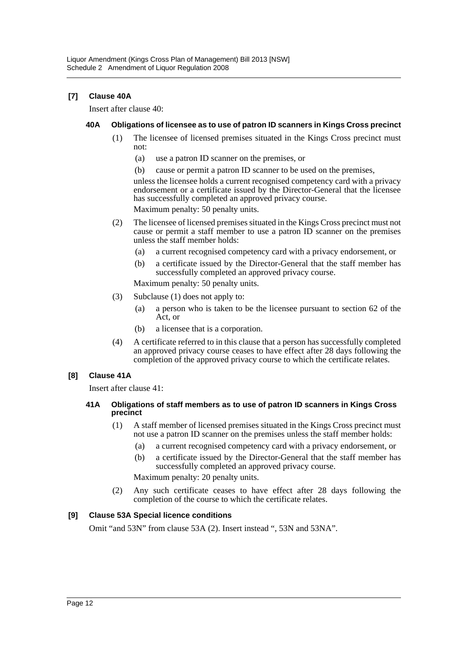# **[7] Clause 40A**

Insert after clause 40:

#### **40A Obligations of licensee as to use of patron ID scanners in Kings Cross precinct**

- (1) The licensee of licensed premises situated in the Kings Cross precinct must not:
	- (a) use a patron ID scanner on the premises, or
	- (b) cause or permit a patron ID scanner to be used on the premises,

unless the licensee holds a current recognised competency card with a privacy endorsement or a certificate issued by the Director-General that the licensee has successfully completed an approved privacy course.

Maximum penalty: 50 penalty units.

- (2) The licensee of licensed premises situated in the Kings Cross precinct must not cause or permit a staff member to use a patron ID scanner on the premises unless the staff member holds:
	- (a) a current recognised competency card with a privacy endorsement, or
	- (b) a certificate issued by the Director-General that the staff member has successfully completed an approved privacy course.

Maximum penalty: 50 penalty units.

- (3) Subclause (1) does not apply to:
	- (a) a person who is taken to be the licensee pursuant to section 62 of the Act, or
	- (b) a licensee that is a corporation.
- (4) A certificate referred to in this clause that a person has successfully completed an approved privacy course ceases to have effect after 28 days following the completion of the approved privacy course to which the certificate relates.

#### **[8] Clause 41A**

Insert after clause 41:

#### **41A Obligations of staff members as to use of patron ID scanners in Kings Cross precinct**

- (1) A staff member of licensed premises situated in the Kings Cross precinct must not use a patron ID scanner on the premises unless the staff member holds:
	- (a) a current recognised competency card with a privacy endorsement, or
	- (b) a certificate issued by the Director-General that the staff member has successfully completed an approved privacy course.

Maximum penalty: 20 penalty units.

(2) Any such certificate ceases to have effect after 28 days following the completion of the course to which the certificate relates.

# **[9] Clause 53A Special licence conditions**

Omit "and 53N" from clause 53A (2). Insert instead ", 53N and 53NA".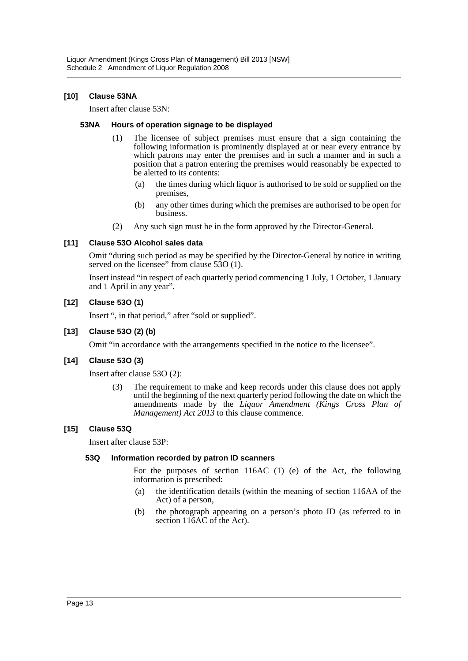#### **[10] Clause 53NA**

Insert after clause 53N:

#### **53NA Hours of operation signage to be displayed**

- (1) The licensee of subject premises must ensure that a sign containing the following information is prominently displayed at or near every entrance by which patrons may enter the premises and in such a manner and in such a position that a patron entering the premises would reasonably be expected to be alerted to its contents:
	- (a) the times during which liquor is authorised to be sold or supplied on the premises,
	- (b) any other times during which the premises are authorised to be open for business.
- (2) Any such sign must be in the form approved by the Director-General.

#### **[11] Clause 53O Alcohol sales data**

Omit "during such period as may be specified by the Director-General by notice in writing served on the licensee" from clause 530 (1).

Insert instead "in respect of each quarterly period commencing 1 July, 1 October, 1 January and 1 April in any year".

#### **[12] Clause 53O (1)**

Insert ", in that period," after "sold or supplied".

#### **[13] Clause 53O (2) (b)**

Omit "in accordance with the arrangements specified in the notice to the licensee".

#### **[14] Clause 53O (3)**

Insert after clause 53O (2):

(3) The requirement to make and keep records under this clause does not apply until the beginning of the next quarterly period following the date on which the amendments made by the *Liquor Amendment (Kings Cross Plan of Management) Act 2013* to this clause commence.

#### **[15] Clause 53Q**

Insert after clause 53P:

#### **53Q Information recorded by patron ID scanners**

For the purposes of section 116AC (1) (e) of the Act, the following information is prescribed:

- (a) the identification details (within the meaning of section 116AA of the Act) of a person,
- (b) the photograph appearing on a person's photo ID (as referred to in section 116AC of the Act).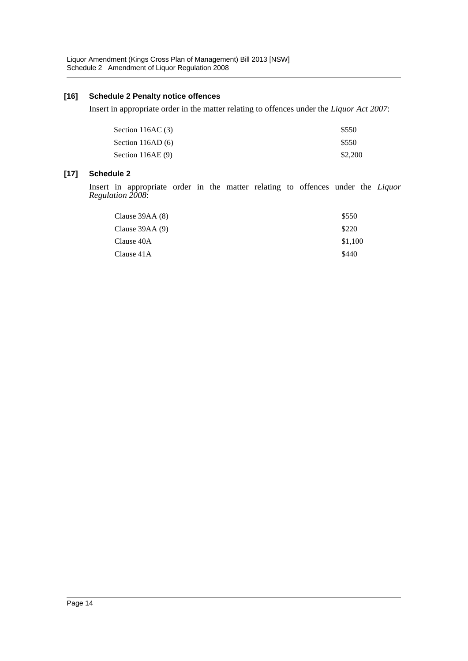#### **[16] Schedule 2 Penalty notice offences**

Insert in appropriate order in the matter relating to offences under the *Liquor Act 2007*:

| Section 116AC $(3)$ | \$550   |
|---------------------|---------|
| Section $116AD(6)$  | \$550   |
| Section $116AE(9)$  | \$2,200 |

# **[17] Schedule 2**

Insert in appropriate order in the matter relating to offences under the *Liquor Regulation 2008*:

| Clause $39AA(8)$ | \$550   |
|------------------|---------|
| Clause $39AA(9)$ | \$220   |
| Clause 40A       | \$1,100 |
| Clause 41A       | \$440   |